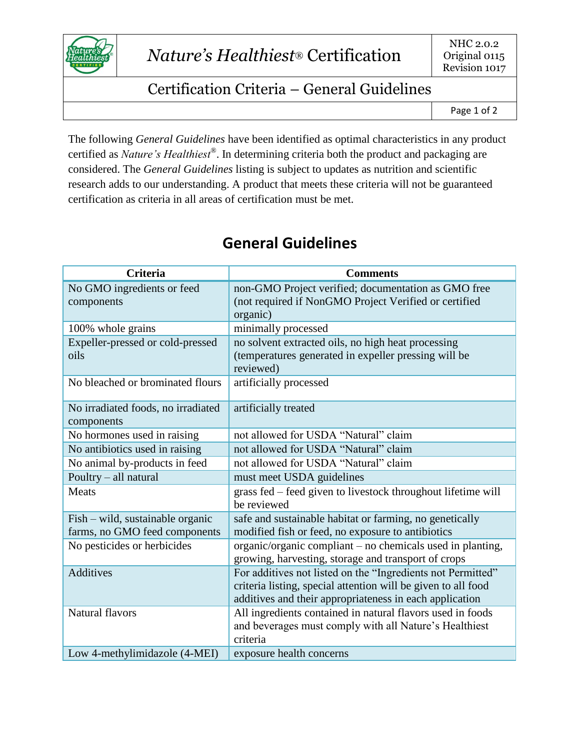

## Certification Criteria – General Guidelines

The following *General Guidelines* have been identified as optimal characteristics in any product certified as *Nature's Healthiest®* . In determining criteria both the product and packaging are considered. The *General Guidelines* listing is subject to updates as nutrition and scientific research adds to our understanding. A product that meets these criteria will not be guaranteed certification as criteria in all areas of certification must be met.

| <b>Criteria</b>                                                   | <b>Comments</b>                                                                                              |
|-------------------------------------------------------------------|--------------------------------------------------------------------------------------------------------------|
| No GMO ingredients or feed                                        | non-GMO Project verified; documentation as GMO free                                                          |
| components                                                        | (not required if NonGMO Project Verified or certified                                                        |
|                                                                   | organic)                                                                                                     |
| 100% whole grains                                                 | minimally processed                                                                                          |
| Expeller-pressed or cold-pressed                                  | no solvent extracted oils, no high heat processing                                                           |
| oils                                                              | (temperatures generated in expeller pressing will be                                                         |
|                                                                   | reviewed)                                                                                                    |
| No bleached or brominated flours                                  | artificially processed                                                                                       |
|                                                                   |                                                                                                              |
| No irradiated foods, no irradiated                                | artificially treated                                                                                         |
| components<br>No hormones used in raising                         | not allowed for USDA "Natural" claim                                                                         |
| No antibiotics used in raising                                    | not allowed for USDA "Natural" claim                                                                         |
|                                                                   | not allowed for USDA "Natural" claim                                                                         |
| No animal by-products in feed                                     |                                                                                                              |
| Poultry - all natural                                             | must meet USDA guidelines                                                                                    |
| Meats                                                             | grass fed – feed given to livestock throughout lifetime will<br>be reviewed                                  |
|                                                                   |                                                                                                              |
| Fish – wild, sustainable organic<br>farms, no GMO feed components | safe and sustainable habitat or farming, no genetically<br>modified fish or feed, no exposure to antibiotics |
| No pesticides or herbicides                                       | organic/organic compliant – no chemicals used in planting,                                                   |
|                                                                   | growing, harvesting, storage and transport of crops                                                          |
| <b>Additives</b>                                                  | For additives not listed on the "Ingredients not Permitted"                                                  |
|                                                                   | criteria listing, special attention will be given to all food                                                |
|                                                                   | additives and their appropriateness in each application                                                      |
| Natural flavors                                                   | All ingredients contained in natural flavors used in foods                                                   |
|                                                                   | and beverages must comply with all Nature's Healthiest                                                       |
|                                                                   | criteria                                                                                                     |
| Low 4-methylimidazole (4-MEI)                                     | exposure health concerns                                                                                     |